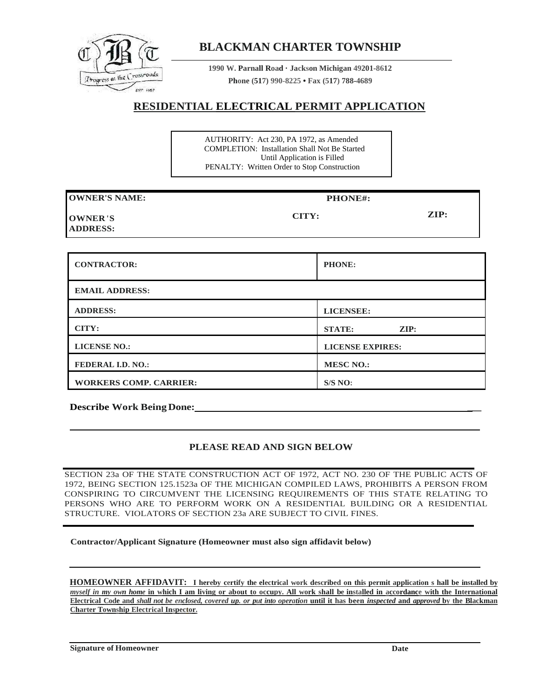

## **BLACKMAN CHARTER TOWNSHIP**

**1990 W. Parnall Road · Jackson Michigan 49201-8612 Phone (517) 990-8225 • Fax (517) 788-4689**

## **RESIDENTIAL ELECTRICAL PERMIT APPLICATION**

AUTHORITY: Act 230, PA 1972, as Amended COMPLETION: Installation Shall Not Be Started Until Application is Filled PENALTY: Written Order to Stop Construction

| <b>OWNER'S NAME:</b>              | PHONE#: |                 |  |
|-----------------------------------|---------|-----------------|--|
| <b>OWNER'S</b><br><b>ADDRESS:</b> | CITY:   | $\mathbf{ZIP:}$ |  |

| <b>CONTRACTOR:</b>            | <b>PHONE:</b>                    |
|-------------------------------|----------------------------------|
| <b>EMAIL ADDRESS:</b>         |                                  |
| <b>ADDRESS:</b>               | <b>LICENSEE:</b>                 |
| CITY:                         | $\mathbf{ZIP:}$<br><b>STATE:</b> |
| <b>LICENSE NO.:</b>           | <b>LICENSE EXPIRES:</b>          |
| <b>FEDERAL I.D. NO.:</b>      | <b>MESC NO.:</b>                 |
| <b>WORKERS COMP. CARRIER:</b> | S/S NO:                          |

**Describe Work Being Done: \_\_**

## **PLEASE READ AND SIGN BELOW**

SECTION 23a OF THE STATE CONSTRUCTION ACT OF 1972, ACT NO. 230 OF THE PUBLIC ACTS OF 1972, BEING SECTION 125.1523a OF THE MICHIGAN COMPILED LAWS, PROHIBITS A PERSON FROM CONSPIRING TO CIRCUMVENT THE LICENSING REQUIREMENTS OF THIS STATE RELATING TO PERSONS WHO ARE TO PERFORM WORK ON A RESIDENTIAL BUILDING OR A RESIDENTIAL STRUCTURE. VIOLATORS OF SECTION 23a ARE SUBJECT TO CIVIL FINES.

**Contractor/Applicant Signature (Homeowner must also sign affidavit below)**

**HOMEOWNER AFFIDAVIT: I hereby certify the electrical work described on this permit application s hall be installed by** *myself in my own home* **in which I am living or about to occupy. All work shall be installed in accordance with the International Electrical Code and** *shall not be enclosed, covered up. or put into operation* **until it has been** *inspected* **and** *approved* **by the Blackman Charter Township Electrical Inspector.**